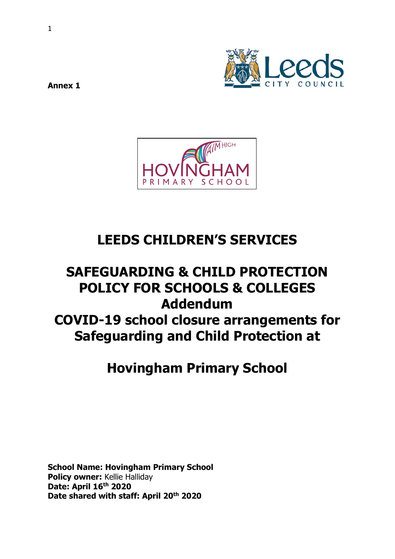

**Annex 1** 



# **LEEDS CHILDREN'S SERVICES**

# **SAFEGUARDING & CHILD PROTECTION POLICY FOR SCHOOLS & COLLEGES Addendum COVID-19 school closure arrangements for Safeguarding and Child Protection at**

# **Hovingham Primary School**

**School Name: Hovingham Primary School Policy owner:** Kellie Halliday **Date: April 16th 2020 Date shared with staff: April 20th 2020**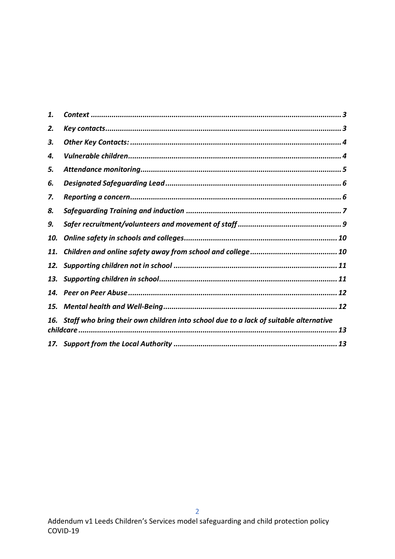| 1.  |                                                                                                |
|-----|------------------------------------------------------------------------------------------------|
| 2.  |                                                                                                |
| 3.  |                                                                                                |
| 4.  |                                                                                                |
| 5.  |                                                                                                |
| 6.  |                                                                                                |
| 7.  |                                                                                                |
| 8.  |                                                                                                |
| 9.  |                                                                                                |
| 10. |                                                                                                |
| 11. |                                                                                                |
| 12. |                                                                                                |
| 13. |                                                                                                |
| 14. |                                                                                                |
| 15. |                                                                                                |
|     | 16. Staff who bring their own children into school due to a lack of suitable alternative<br>13 |
|     |                                                                                                |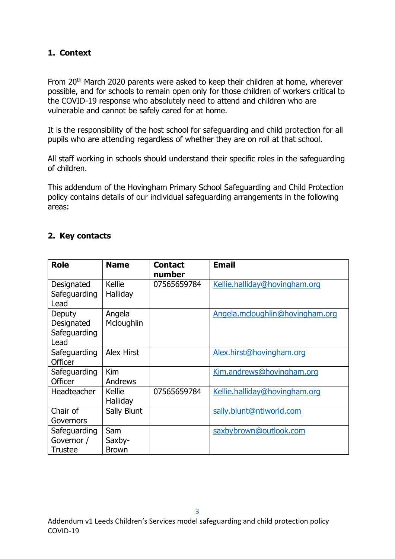#### <span id="page-2-0"></span>**1. Context**

From 20<sup>th</sup> March 2020 parents were asked to keep their children at home, wherever possible, and for schools to remain open only for those children of workers critical to the COVID-19 response who absolutely need to attend and children who are vulnerable and cannot be safely cared for at home.

It is the responsibility of the host school for safeguarding and child protection for all pupils who are attending regardless of whether they are on roll at that school.

All staff working in schools should understand their specific roles in the safeguarding of children.

This addendum of the Hovingham Primary School Safeguarding and Child Protection policy contains details of our individual safeguarding arrangements in the following areas:

#### <span id="page-2-1"></span>**2. Key contacts**

| <b>Role</b>                                  | <b>Name</b>                   | <b>Contact</b><br>number | <b>Email</b>                    |
|----------------------------------------------|-------------------------------|--------------------------|---------------------------------|
| Designated<br>Safeguarding<br>Lead           | Kellie<br>Halliday            | 07565659784              | Kellie.halliday@hovingham.org   |
| Deputy<br>Designated<br>Safeguarding<br>Lead | Angela<br>Mcloughlin          |                          | Angela.mcloughlin@hovingham.org |
| Safeguarding<br><b>Officer</b>               | <b>Alex Hirst</b>             |                          | Alex.hirst@hovingham.org        |
| Safeguarding<br>Officer                      | Kim<br>Andrews                |                          | Kim.andrews@hovingham.org       |
| Headteacher                                  | <b>Kellie</b><br>Halliday     | 07565659784              | Kellie.halliday@hovingham.org   |
| Chair of<br>Governors                        | Sally Blunt                   |                          | sally.blunt@ntlworld.com        |
| Safeguarding<br>Governor /<br>Trustee        | Sam<br>Saxby-<br><b>Brown</b> |                          | saxbybrown@outlook.com          |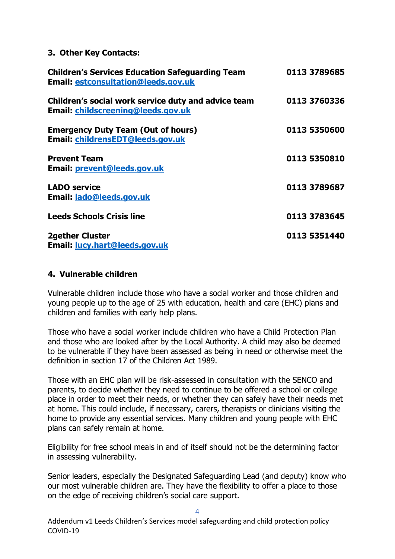#### <span id="page-3-0"></span>**3. Other Key Contacts:**

| <b>Children's Services Education Safeguarding Team</b><br><b>Email: estconsultation@leeds.gov.uk</b> | 0113 3789685 |
|------------------------------------------------------------------------------------------------------|--------------|
| Children's social work service duty and advice team<br>Email: childscreening@leeds.gov.uk            | 0113 3760336 |
| <b>Emergency Duty Team (Out of hours)</b><br>Email: childrensEDT@leeds.gov.uk                        | 0113 5350600 |
| <b>Prevent Team</b><br>Email: prevent@leeds.gov.uk                                                   | 0113 5350810 |
| <b>LADO service</b><br>Email: lado@leeds.gov.uk                                                      | 0113 3789687 |
| <b>Leeds Schools Crisis line</b>                                                                     | 0113 3783645 |
| <b>2gether Cluster</b><br>Email: lucy.hart@leeds.gov.uk                                              | 0113 5351440 |

#### <span id="page-3-1"></span>**4. Vulnerable children**

Vulnerable children include those who have a social worker and those children and young people up to the age of 25 with education, health and care (EHC) plans and children and families with early help plans.

Those who have a social worker include children who have a Child Protection Plan and those who are looked after by the Local Authority. A child may also be deemed to be vulnerable if they have been assessed as being in need or otherwise meet the definition in section 17 of the Children Act 1989.

Those with an EHC plan will be risk-assessed in consultation with the SENCO and parents, to decide whether they need to continue to be offered a school or college place in order to meet their needs, or whether they can safely have their needs met at home. This could include, if necessary, carers, therapists or clinicians visiting the home to provide any essential services. Many children and young people with EHC plans can safely remain at home.

Eligibility for free school meals in and of itself should not be the determining factor in assessing vulnerability.

Senior leaders, especially the Designated Safeguarding Lead (and deputy) know who our most vulnerable children are. They have the flexibility to offer a place to those on the edge of receiving children's social care support.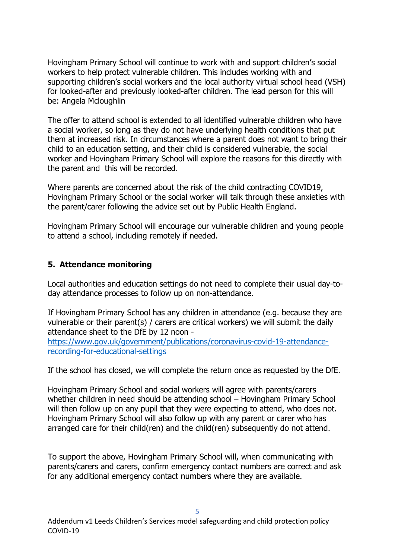Hovingham Primary School will continue to work with and support children's social workers to help protect vulnerable children. This includes working with and supporting children's social workers and the local authority virtual school head (VSH) for looked-after and previously looked-after children. The lead person for this will be: Angela Mcloughlin

The offer to attend school is extended to all identified vulnerable children who have a social worker, so long as they do not have underlying health conditions that put them at increased risk. In circumstances where a parent does not want to bring their child to an education setting, and their child is considered vulnerable, the social worker and Hovingham Primary School will explore the reasons for this directly with the parent and this will be recorded.

Where parents are concerned about the risk of the child contracting COVID19, Hovingham Primary School or the social worker will talk through these anxieties with the parent/carer following the advice set out by Public Health England.

Hovingham Primary School will encourage our vulnerable children and young people to attend a school, including remotely if needed.

#### <span id="page-4-0"></span>**5. Attendance monitoring**

Local authorities and education settings do not need to complete their usual day-today attendance processes to follow up on non-attendance.

If Hovingham Primary School has any children in attendance (e.g. because they are vulnerable or their parent(s) / carers are critical workers) we will submit the daily attendance sheet to the DfE by 12 noon -

[https://www.gov.uk/government/publications/coronavirus-covid-19-attendance](https://www.gov.uk/government/publications/coronavirus-covid-19-attendance-recording-for-educational-settings)[recording-for-educational-settings](https://www.gov.uk/government/publications/coronavirus-covid-19-attendance-recording-for-educational-settings)

If the school has closed, we will complete the return once as requested by the DfE.

Hovingham Primary School and social workers will agree with parents/carers whether children in need should be attending school – Hovingham Primary School will then follow up on any pupil that they were expecting to attend, who does not. Hovingham Primary School will also follow up with any parent or carer who has arranged care for their child(ren) and the child(ren) subsequently do not attend.

To support the above, Hovingham Primary School will, when communicating with parents/carers and carers, confirm emergency contact numbers are correct and ask for any additional emergency contact numbers where they are available.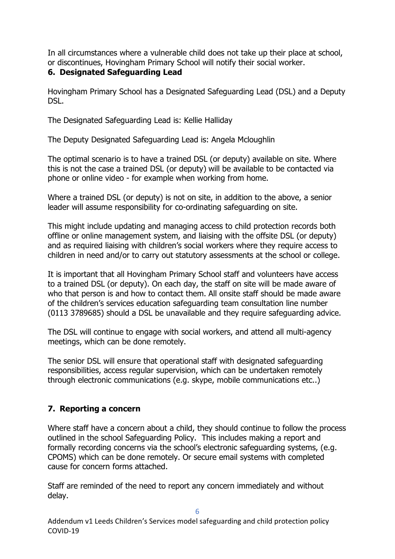In all circumstances where a vulnerable child does not take up their place at school, or discontinues, Hovingham Primary School will notify their social worker.

#### <span id="page-5-0"></span>**6. Designated Safeguarding Lead**

Hovingham Primary School has a Designated Safeguarding Lead (DSL) and a Deputy DSL.

The Designated Safeguarding Lead is: Kellie Halliday

The Deputy Designated Safeguarding Lead is: Angela Mcloughlin

The optimal scenario is to have a trained DSL (or deputy) available on site. Where this is not the case a trained DSL (or deputy) will be available to be contacted via phone or online video - for example when working from home.

Where a trained DSL (or deputy) is not on site, in addition to the above, a senior leader will assume responsibility for co-ordinating safeguarding on site.

This might include updating and managing access to child protection records both offline or online management system, and liaising with the offsite DSL (or deputy) and as required liaising with children's social workers where they require access to children in need and/or to carry out statutory assessments at the school or college.

It is important that all Hovingham Primary School staff and volunteers have access to a trained DSL (or deputy). On each day, the staff on site will be made aware of who that person is and how to contact them. All onsite staff should be made aware of the children's services education safeguarding team consultation line number (0113 3789685) should a DSL be unavailable and they require safeguarding advice.

The DSL will continue to engage with social workers, and attend all multi-agency meetings, which can be done remotely.

The senior DSL will ensure that operational staff with designated safeguarding responsibilities, access regular supervision, which can be undertaken remotely through electronic communications (e.g. skype, mobile communications etc..)

### <span id="page-5-1"></span>**7. Reporting a concern**

Where staff have a concern about a child, they should continue to follow the process outlined in the school Safeguarding Policy. This includes making a report and formally recording concerns via the school's electronic safeguarding systems, (e.g. CPOMS) which can be done remotely. Or secure email systems with completed cause for concern forms attached.

Staff are reminded of the need to report any concern immediately and without delay.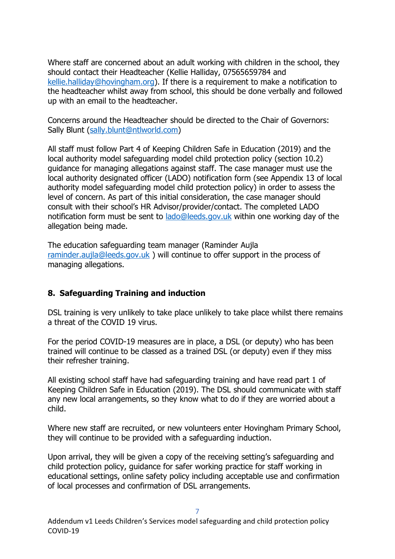Where staff are concerned about an adult working with children in the school, they should contact their Headteacher (Kellie Halliday, 07565659784 and [kellie.halliday@hovingham.org\)](mailto:kellie.halliday@hovingham.org). If there is a requirement to make a notification to the headteacher whilst away from school, this should be done verbally and followed up with an email to the headteacher.

Concerns around the Headteacher should be directed to the Chair of Governors: Sally Blunt [\(sally.blunt@ntlworld.com\)](mailto:sally.blunt@ntlworld.com)

All staff must follow Part 4 of Keeping Children Safe in Education (2019) and the local authority model safeguarding model child protection policy (section 10.2) guidance for managing allegations against staff. The case manager must use the local authority designated officer (LADO) notification form (see Appendix 13 of local authority model safeguarding model child protection policy) in order to assess the level of concern. As part of this initial consideration, the case manager should consult with their school's HR Advisor/provider/contact. The completed LADO notification form must be sent to [lado@leeds.gov.uk](mailto:lado@leeds.gov.uk) within one working day of the allegation being made.

The education safeguarding team manager (Raminder Aujla [raminder.aujla@leeds.gov.uk](mailto:raminder.aujla@leeds.gov.uk) ) will continue to offer support in the process of managing allegations.

#### <span id="page-6-0"></span>**8. Safeguarding Training and induction**

DSL training is very unlikely to take place unlikely to take place whilst there remains a threat of the COVID 19 virus.

For the period COVID-19 measures are in place, a DSL (or deputy) who has been trained will continue to be classed as a trained DSL (or deputy) even if they miss their refresher training.

All existing school staff have had safeguarding training and have read part 1 of Keeping Children Safe in Education (2019). The DSL should communicate with staff any new local arrangements, so they know what to do if they are worried about a child.

Where new staff are recruited, or new volunteers enter Hovingham Primary School, they will continue to be provided with a safeguarding induction.

Upon arrival, they will be given a copy of the receiving setting's safeguarding and child protection policy, guidance for safer working practice for staff working in educational settings, online safety policy including acceptable use and confirmation of local processes and confirmation of DSL arrangements.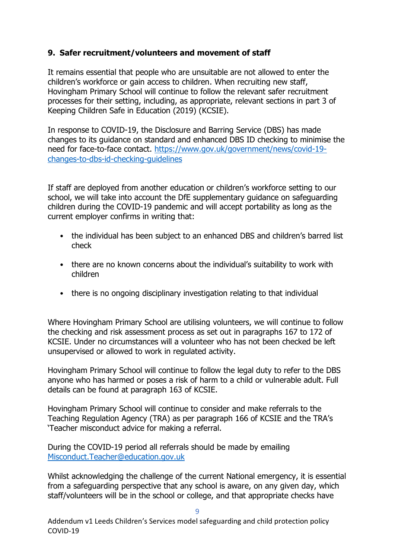#### <span id="page-8-0"></span>**9. Safer recruitment/volunteers and movement of staff**

It remains essential that people who are unsuitable are not allowed to enter the children's workforce or gain access to children. When recruiting new staff, Hovingham Primary School will continue to follow the relevant safer recruitment processes for their setting, including, as appropriate, relevant sections in part 3 of Keeping Children Safe in Education (2019) (KCSIE).

In response to COVID-19, the Disclosure and Barring Service (DBS) has made changes to its guidance on standard and enhanced DBS ID checking to minimise the need for face-to-face contact. [https://www.gov.uk/government/news/covid-19](https://www.gov.uk/government/news/covid-19-changes-to-dbs-id-checking-guidelines) [changes-to-dbs-id-checking-guidelines](https://www.gov.uk/government/news/covid-19-changes-to-dbs-id-checking-guidelines)

If staff are deployed from another education or children's workforce setting to our school, we will take into account the DfE supplementary guidance on safeguarding children during the COVID-19 pandemic and will accept portability as long as the current employer confirms in writing that:

- the individual has been subject to an enhanced DBS and children's barred list check
- there are no known concerns about the individual's suitability to work with children
- there is no ongoing disciplinary investigation relating to that individual

Where Hovingham Primary School are utilising volunteers, we will continue to follow the checking and risk assessment process as set out in paragraphs 167 to 172 of KCSIE. Under no circumstances will a volunteer who has not been checked be left unsupervised or allowed to work in regulated activity.

Hovingham Primary School will continue to follow the legal duty to refer to the DBS anyone who has harmed or poses a risk of harm to a child or vulnerable adult. Full details can be found at paragraph 163 of KCSIE.

Hovingham Primary School will continue to consider and make referrals to the Teaching Regulation Agency (TRA) as per paragraph 166 of KCSIE and the TRA's 'Teacher misconduct advice for making a referral.

During the COVID-19 period all referrals should be made by emailing [Misconduct.Teacher@education.gov.uk](mailto:Misconduct.Teacher@education.gov.uk)

Whilst acknowledging the challenge of the current National emergency, it is essential from a safeguarding perspective that any school is aware, on any given day, which staff/volunteers will be in the school or college, and that appropriate checks have

9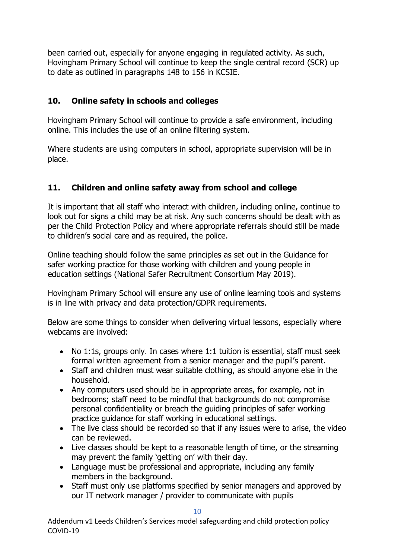been carried out, especially for anyone engaging in regulated activity. As such, Hovingham Primary School will continue to keep the single central record (SCR) up to date as outlined in paragraphs 148 to 156 in KCSIE.

#### <span id="page-9-0"></span>**10. Online safety in schools and colleges**

Hovingham Primary School will continue to provide a safe environment, including online. This includes the use of an online filtering system.

Where students are using computers in school, appropriate supervision will be in place.

#### <span id="page-9-1"></span>**11. Children and online safety away from school and college**

It is important that all staff who interact with children, including online, continue to look out for signs a child may be at risk. Any such concerns should be dealt with as per the Child Protection Policy and where appropriate referrals should still be made to children's social care and as required, the police.

Online teaching should follow the same principles as set out in the Guidance for safer working practice for those working with children and young people in education settings (National Safer Recruitment Consortium May 2019).

Hovingham Primary School will ensure any use of online learning tools and systems is in line with privacy and data protection/GDPR requirements.

Below are some things to consider when delivering virtual lessons, especially where webcams are involved:

- No 1:1s, groups only. In cases where 1:1 tuition is essential, staff must seek formal written agreement from a senior manager and the pupil's parent.
- Staff and children must wear suitable clothing, as should anyone else in the household.
- Any computers used should be in appropriate areas, for example, not in bedrooms; staff need to be mindful that backgrounds do not compromise personal confidentiality or breach the guiding principles of safer working practice guidance for staff working in educational settings.
- The live class should be recorded so that if any issues were to arise, the video can be reviewed.
- Live classes should be kept to a reasonable length of time, or the streaming may prevent the family 'getting on' with their day.
- Language must be professional and appropriate, including any family members in the background.
- Staff must only use platforms specified by senior managers and approved by our IT network manager / provider to communicate with pupils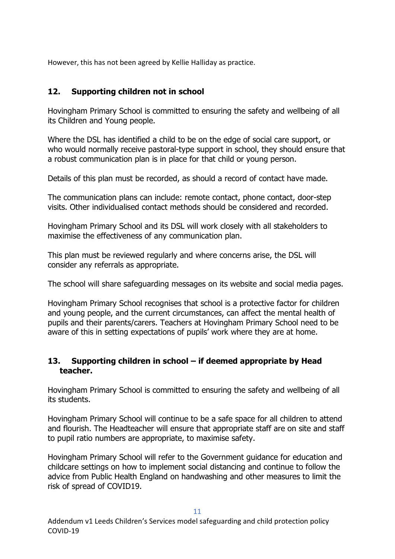However, this has not been agreed by Kellie Halliday as practice.

### <span id="page-10-0"></span>**12. Supporting children not in school**

Hovingham Primary School is committed to ensuring the safety and wellbeing of all its Children and Young people.

Where the DSL has identified a child to be on the edge of social care support, or who would normally receive pastoral-type support in school, they should ensure that a robust communication plan is in place for that child or young person.

Details of this plan must be recorded, as should a record of contact have made.

The communication plans can include: remote contact, phone contact, door-step visits. Other individualised contact methods should be considered and recorded.

Hovingham Primary School and its DSL will work closely with all stakeholders to maximise the effectiveness of any communication plan.

This plan must be reviewed regularly and where concerns arise, the DSL will consider any referrals as appropriate.

The school will share safeguarding messages on its website and social media pages.

Hovingham Primary School recognises that school is a protective factor for children and young people, and the current circumstances, can affect the mental health of pupils and their parents/carers. Teachers at Hovingham Primary School need to be aware of this in setting expectations of pupils' work where they are at home.

#### <span id="page-10-1"></span>**13. Supporting children in school – if deemed appropriate by Head teacher.**

Hovingham Primary School is committed to ensuring the safety and wellbeing of all its students.

Hovingham Primary School will continue to be a safe space for all children to attend and flourish. The Headteacher will ensure that appropriate staff are on site and staff to pupil ratio numbers are appropriate, to maximise safety.

Hovingham Primary School will refer to the Government guidance for education and childcare settings on how to implement social distancing and continue to follow the advice from Public Health England on handwashing and other measures to limit the risk of spread of COVID19.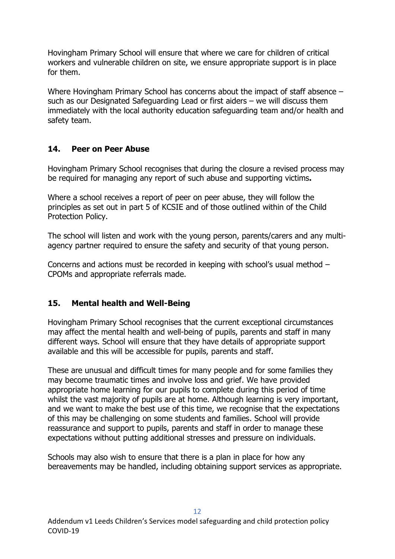Hovingham Primary School will ensure that where we care for children of critical workers and vulnerable children on site, we ensure appropriate support is in place for them.

Where Hovingham Primary School has concerns about the impact of staff absence – such as our Designated Safeguarding Lead or first aiders – we will discuss them immediately with the local authority education safeguarding team and/or health and safety team.

#### <span id="page-11-0"></span>**14. Peer on Peer Abuse**

Hovingham Primary School recognises that during the closure a revised process may be required for managing any report of such abuse and supporting victims**.** 

Where a school receives a report of peer on peer abuse, they will follow the principles as set out in part 5 of KCSIE and of those outlined within of the Child Protection Policy.

The school will listen and work with the young person, parents/carers and any multiagency partner required to ensure the safety and security of that young person.

Concerns and actions must be recorded in keeping with school's usual method – CPOMs and appropriate referrals made.

#### <span id="page-11-1"></span>**15. Mental health and Well-Being**

Hovingham Primary School recognises that the current exceptional circumstances may affect the mental health and well-being of pupils, parents and staff in many different ways. School will ensure that they have details of appropriate support available and this will be accessible for pupils, parents and staff.

These are unusual and difficult times for many people and for some families they may become traumatic times and involve loss and grief. We have provided appropriate home learning for our pupils to complete during this period of time whilst the vast majority of pupils are at home. Although learning is very important, and we want to make the best use of this time, we recognise that the expectations of this may be challenging on some students and families. School will provide reassurance and support to pupils, parents and staff in order to manage these expectations without putting additional stresses and pressure on individuals.

Schools may also wish to ensure that there is a plan in place for how any bereavements may be handled, including obtaining support services as appropriate.

12